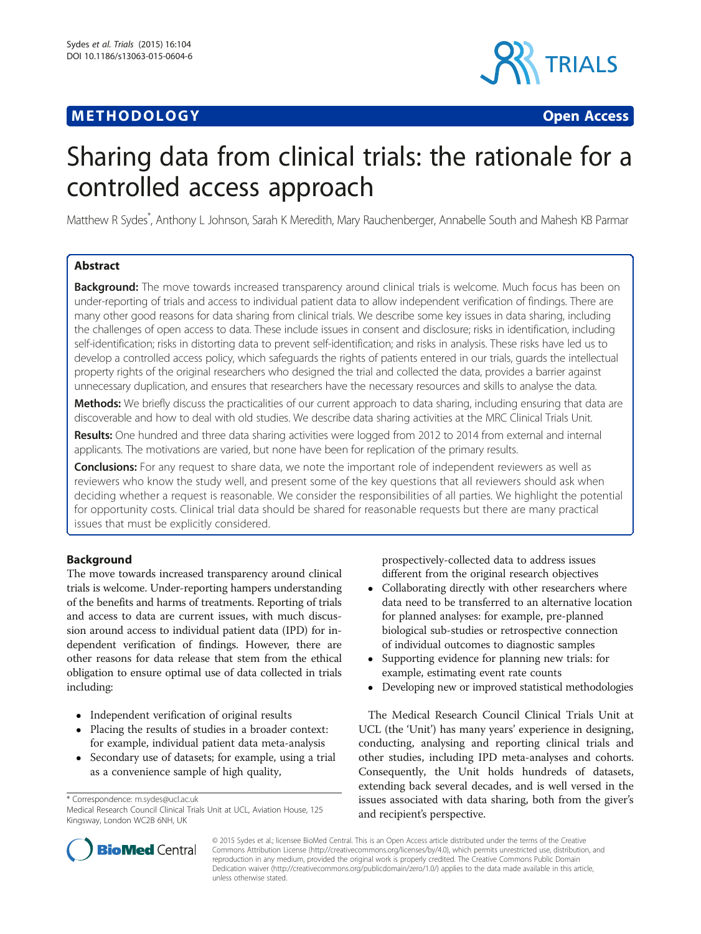## M E THODO L OGY Open Access



# Sharing data from clinical trials: the rationale for a controlled access approach

Matthew R Sydes\* , Anthony L Johnson, Sarah K Meredith, Mary Rauchenberger, Annabelle South and Mahesh KB Parmar

## Abstract

Background: The move towards increased transparency around clinical trials is welcome. Much focus has been on under-reporting of trials and access to individual patient data to allow independent verification of findings. There are many other good reasons for data sharing from clinical trials. We describe some key issues in data sharing, including the challenges of open access to data. These include issues in consent and disclosure; risks in identification, including self-identification; risks in distorting data to prevent self-identification; and risks in analysis. These risks have led us to develop a controlled access policy, which safeguards the rights of patients entered in our trials, guards the intellectual property rights of the original researchers who designed the trial and collected the data, provides a barrier against unnecessary duplication, and ensures that researchers have the necessary resources and skills to analyse the data.

Methods: We briefly discuss the practicalities of our current approach to data sharing, including ensuring that data are discoverable and how to deal with old studies. We describe data sharing activities at the MRC Clinical Trials Unit.

Results: One hundred and three data sharing activities were logged from 2012 to 2014 from external and internal applicants. The motivations are varied, but none have been for replication of the primary results.

**Conclusions:** For any request to share data, we note the important role of independent reviewers as well as reviewers who know the study well, and present some of the key questions that all reviewers should ask when deciding whether a request is reasonable. We consider the responsibilities of all parties. We highlight the potential for opportunity costs. Clinical trial data should be shared for reasonable requests but there are many practical issues that must be explicitly considered.

## Background

The move towards increased transparency around clinical trials is welcome. Under-reporting hampers understanding of the benefits and harms of treatments. Reporting of trials and access to data are current issues, with much discussion around access to individual patient data (IPD) for independent verification of findings. However, there are other reasons for data release that stem from the ethical obligation to ensure optimal use of data collected in trials including:

- Independent verification of original results
- Placing the results of studies in a broader context: for example, individual patient data meta-analysis
- Secondary use of datasets; for example, using a trial as a convenience sample of high quality,

\* Correspondence: [m.sydes@ucl.ac.uk](mailto:m.sydes@ucl.ac.uk)

Medical Research Council Clinical Trials Unit at UCL, Aviation House, 125 Kingsway, London WC2B 6NH, UK

prospectively-collected data to address issues different from the original research objectives

- Collaborating directly with other researchers where data need to be transferred to an alternative location for planned analyses: for example, pre-planned biological sub-studies or retrospective connection of individual outcomes to diagnostic samples
- Supporting evidence for planning new trials: for example, estimating event rate counts
- Developing new or improved statistical methodologies

The Medical Research Council Clinical Trials Unit at UCL (the 'Unit') has many years' experience in designing, conducting, analysing and reporting clinical trials and other studies, including IPD meta-analyses and cohorts. Consequently, the Unit holds hundreds of datasets, extending back several decades, and is well versed in the issues associated with data sharing, both from the giver's and recipient's perspective.



© 2015 Sydes et al.; licensee BioMed Central. This is an Open Access article distributed under the terms of the Creative Commons Attribution License [\(http://creativecommons.org/licenses/by/4.0\)](http://creativecommons.org/licenses/by/4.0), which permits unrestricted use, distribution, and reproduction in any medium, provided the original work is properly credited. The Creative Commons Public Domain Dedication waiver [\(http://creativecommons.org/publicdomain/zero/1.0/](http://creativecommons.org/publicdomain/zero/1.0/)) applies to the data made available in this article, unless otherwise stated.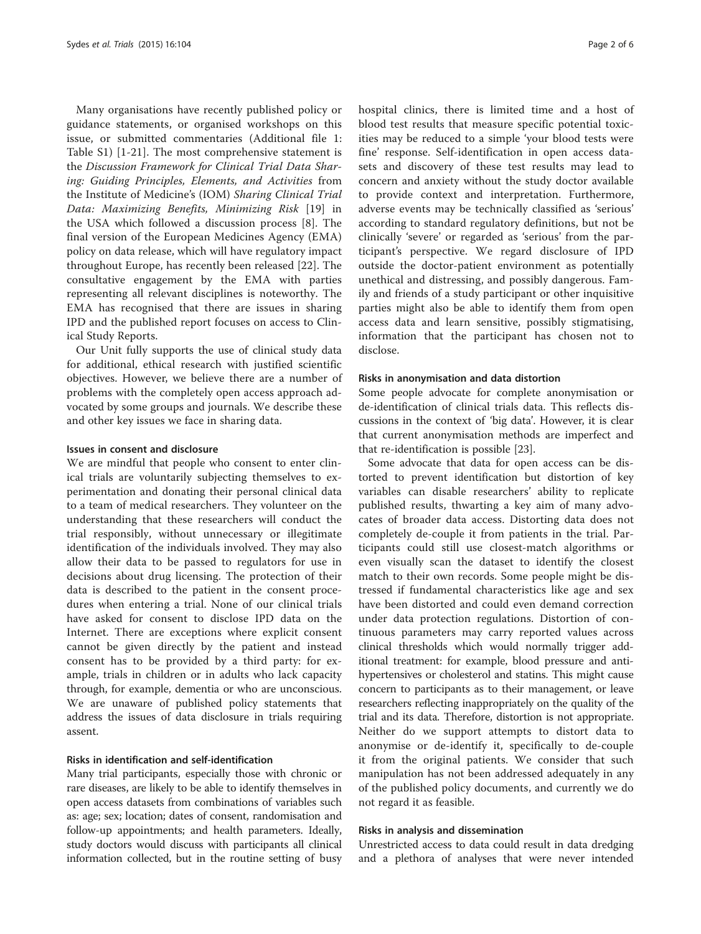Many organisations have recently published policy or guidance statements, or organised workshops on this issue, or submitted commentaries (Additional file [1](#page-4-0): Table S1) [[1-](#page-4-0)[21](#page-5-0)]. The most comprehensive statement is the Discussion Framework for Clinical Trial Data Sharing: Guiding Principles, Elements, and Activities from the Institute of Medicine's (IOM) Sharing Clinical Trial Data: Maximizing Benefits, Minimizing Risk [\[19](#page-5-0)] in the USA which followed a discussion process [[8\]](#page-4-0). The final version of the European Medicines Agency (EMA) policy on data release, which will have regulatory impact throughout Europe, has recently been released [[22\]](#page-5-0). The consultative engagement by the EMA with parties representing all relevant disciplines is noteworthy. The EMA has recognised that there are issues in sharing IPD and the published report focuses on access to Clinical Study Reports.

Our Unit fully supports the use of clinical study data for additional, ethical research with justified scientific objectives. However, we believe there are a number of problems with the completely open access approach advocated by some groups and journals. We describe these and other key issues we face in sharing data.

#### Issues in consent and disclosure

We are mindful that people who consent to enter clinical trials are voluntarily subjecting themselves to experimentation and donating their personal clinical data to a team of medical researchers. They volunteer on the understanding that these researchers will conduct the trial responsibly, without unnecessary or illegitimate identification of the individuals involved. They may also allow their data to be passed to regulators for use in decisions about drug licensing. The protection of their data is described to the patient in the consent procedures when entering a trial. None of our clinical trials have asked for consent to disclose IPD data on the Internet. There are exceptions where explicit consent cannot be given directly by the patient and instead consent has to be provided by a third party: for example, trials in children or in adults who lack capacity through, for example, dementia or who are unconscious. We are unaware of published policy statements that address the issues of data disclosure in trials requiring assent.

## Risks in identification and self-identification

Many trial participants, especially those with chronic or rare diseases, are likely to be able to identify themselves in open access datasets from combinations of variables such as: age; sex; location; dates of consent, randomisation and follow-up appointments; and health parameters. Ideally, study doctors would discuss with participants all clinical information collected, but in the routine setting of busy hospital clinics, there is limited time and a host of blood test results that measure specific potential toxicities may be reduced to a simple 'your blood tests were fine' response. Self-identification in open access datasets and discovery of these test results may lead to concern and anxiety without the study doctor available to provide context and interpretation. Furthermore, adverse events may be technically classified as 'serious' according to standard regulatory definitions, but not be clinically 'severe' or regarded as 'serious' from the participant's perspective. We regard disclosure of IPD outside the doctor-patient environment as potentially unethical and distressing, and possibly dangerous. Family and friends of a study participant or other inquisitive parties might also be able to identify them from open access data and learn sensitive, possibly stigmatising, information that the participant has chosen not to disclose.

#### Risks in anonymisation and data distortion

Some people advocate for complete anonymisation or de-identification of clinical trials data. This reflects discussions in the context of 'big data'. However, it is clear that current anonymisation methods are imperfect and that re-identification is possible [\[23\]](#page-5-0).

Some advocate that data for open access can be distorted to prevent identification but distortion of key variables can disable researchers' ability to replicate published results, thwarting a key aim of many advocates of broader data access. Distorting data does not completely de-couple it from patients in the trial. Participants could still use closest-match algorithms or even visually scan the dataset to identify the closest match to their own records. Some people might be distressed if fundamental characteristics like age and sex have been distorted and could even demand correction under data protection regulations. Distortion of continuous parameters may carry reported values across clinical thresholds which would normally trigger additional treatment: for example, blood pressure and antihypertensives or cholesterol and statins. This might cause concern to participants as to their management, or leave researchers reflecting inappropriately on the quality of the trial and its data. Therefore, distortion is not appropriate. Neither do we support attempts to distort data to anonymise or de-identify it, specifically to de-couple it from the original patients. We consider that such manipulation has not been addressed adequately in any of the published policy documents, and currently we do not regard it as feasible.

#### Risks in analysis and dissemination

Unrestricted access to data could result in data dredging and a plethora of analyses that were never intended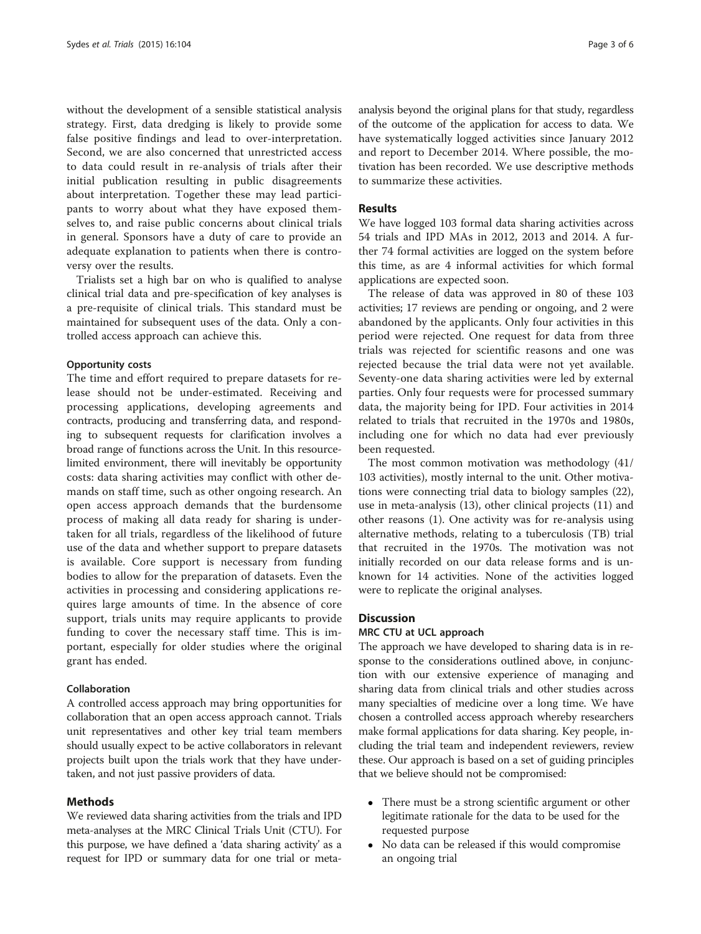without the development of a sensible statistical analysis strategy. First, data dredging is likely to provide some false positive findings and lead to over-interpretation. Second, we are also concerned that unrestricted access to data could result in re-analysis of trials after their initial publication resulting in public disagreements about interpretation. Together these may lead participants to worry about what they have exposed themselves to, and raise public concerns about clinical trials in general. Sponsors have a duty of care to provide an adequate explanation to patients when there is controversy over the results.

Trialists set a high bar on who is qualified to analyse clinical trial data and pre-specification of key analyses is a pre-requisite of clinical trials. This standard must be maintained for subsequent uses of the data. Only a controlled access approach can achieve this.

#### Opportunity costs

The time and effort required to prepare datasets for release should not be under-estimated. Receiving and processing applications, developing agreements and contracts, producing and transferring data, and responding to subsequent requests for clarification involves a broad range of functions across the Unit. In this resourcelimited environment, there will inevitably be opportunity costs: data sharing activities may conflict with other demands on staff time, such as other ongoing research. An open access approach demands that the burdensome process of making all data ready for sharing is undertaken for all trials, regardless of the likelihood of future use of the data and whether support to prepare datasets is available. Core support is necessary from funding bodies to allow for the preparation of datasets. Even the activities in processing and considering applications requires large amounts of time. In the absence of core support, trials units may require applicants to provide funding to cover the necessary staff time. This is important, especially for older studies where the original grant has ended.

#### Collaboration

A controlled access approach may bring opportunities for collaboration that an open access approach cannot. Trials unit representatives and other key trial team members should usually expect to be active collaborators in relevant projects built upon the trials work that they have undertaken, and not just passive providers of data.

### Methods

We reviewed data sharing activities from the trials and IPD meta-analyses at the MRC Clinical Trials Unit (CTU). For this purpose, we have defined a 'data sharing activity' as a request for IPD or summary data for one trial or metaanalysis beyond the original plans for that study, regardless of the outcome of the application for access to data. We have systematically logged activities since January 2012 and report to December 2014. Where possible, the motivation has been recorded. We use descriptive methods to summarize these activities.

## Results

We have logged 103 formal data sharing activities across 54 trials and IPD MAs in 2012, 2013 and 2014. A further 74 formal activities are logged on the system before this time, as are 4 informal activities for which formal applications are expected soon.

The release of data was approved in 80 of these 103 activities; 17 reviews are pending or ongoing, and 2 were abandoned by the applicants. Only four activities in this period were rejected. One request for data from three trials was rejected for scientific reasons and one was rejected because the trial data were not yet available. Seventy-one data sharing activities were led by external parties. Only four requests were for processed summary data, the majority being for IPD. Four activities in 2014 related to trials that recruited in the 1970s and 1980s, including one for which no data had ever previously been requested.

The most common motivation was methodology (41/ 103 activities), mostly internal to the unit. Other motivations were connecting trial data to biology samples (22), use in meta-analysis (13), other clinical projects (11) and other reasons (1). One activity was for re-analysis using alternative methods, relating to a tuberculosis (TB) trial that recruited in the 1970s. The motivation was not initially recorded on our data release forms and is unknown for 14 activities. None of the activities logged were to replicate the original analyses.

#### Discussion

#### MRC CTU at UCL approach

The approach we have developed to sharing data is in response to the considerations outlined above, in conjunction with our extensive experience of managing and sharing data from clinical trials and other studies across many specialties of medicine over a long time. We have chosen a controlled access approach whereby researchers make formal applications for data sharing. Key people, including the trial team and independent reviewers, review these. Our approach is based on a set of guiding principles that we believe should not be compromised:

- There must be a strong scientific argument or other legitimate rationale for the data to be used for the requested purpose
- No data can be released if this would compromise an ongoing trial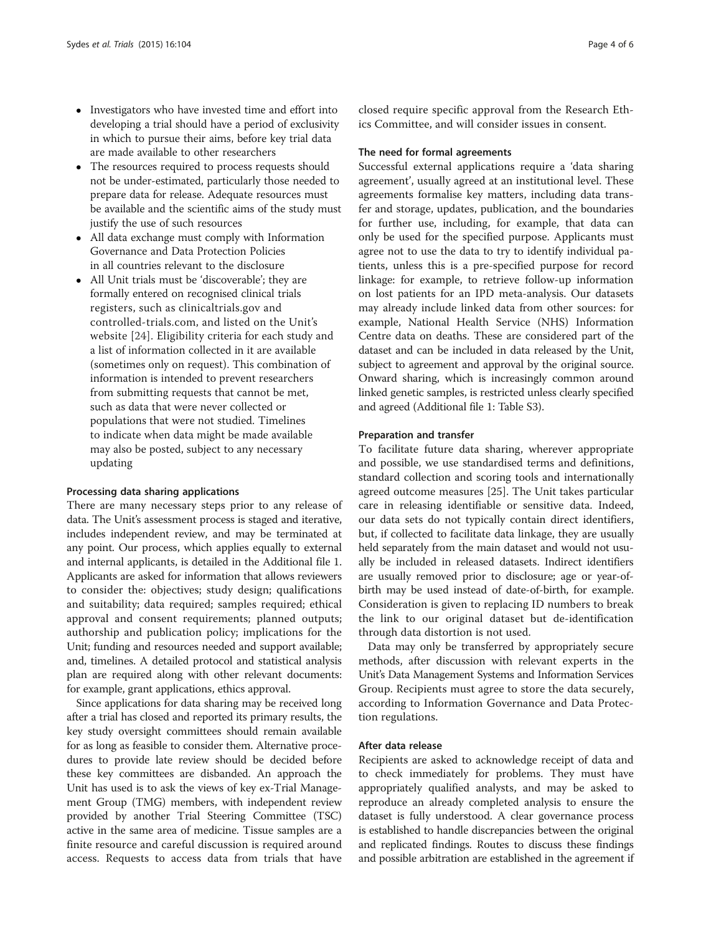- Investigators who have invested time and effort into developing a trial should have a period of exclusivity in which to pursue their aims, before key trial data are made available to other researchers
- The resources required to process requests should not be under-estimated, particularly those needed to prepare data for release. Adequate resources must be available and the scientific aims of the study must justify the use of such resources
- All data exchange must comply with Information Governance and Data Protection Policies in all countries relevant to the disclosure
- All Unit trials must be 'discoverable'; they are formally entered on recognised clinical trials registers, such as clinicaltrials.gov and controlled-trials.com, and listed on the Unit's website [\[24\]](#page-5-0). Eligibility criteria for each study and a list of information collected in it are available (sometimes only on request). This combination of information is intended to prevent researchers from submitting requests that cannot be met, such as data that were never collected or populations that were not studied. Timelines to indicate when data might be made available may also be posted, subject to any necessary updating

#### Processing data sharing applications

There are many necessary steps prior to any release of data. The Unit's assessment process is staged and iterative, includes independent review, and may be terminated at any point. Our process, which applies equally to external and internal applicants, is detailed in the Additional file [1](#page-4-0). Applicants are asked for information that allows reviewers to consider the: objectives; study design; qualifications and suitability; data required; samples required; ethical approval and consent requirements; planned outputs; authorship and publication policy; implications for the Unit; funding and resources needed and support available; and, timelines. A detailed protocol and statistical analysis plan are required along with other relevant documents: for example, grant applications, ethics approval.

Since applications for data sharing may be received long after a trial has closed and reported its primary results, the key study oversight committees should remain available for as long as feasible to consider them. Alternative procedures to provide late review should be decided before these key committees are disbanded. An approach the Unit has used is to ask the views of key ex-Trial Management Group (TMG) members, with independent review provided by another Trial Steering Committee (TSC) active in the same area of medicine. Tissue samples are a finite resource and careful discussion is required around access. Requests to access data from trials that have closed require specific approval from the Research Ethics Committee, and will consider issues in consent.

## The need for formal agreements

Successful external applications require a 'data sharing agreement', usually agreed at an institutional level. These agreements formalise key matters, including data transfer and storage, updates, publication, and the boundaries for further use, including, for example, that data can only be used for the specified purpose. Applicants must agree not to use the data to try to identify individual patients, unless this is a pre-specified purpose for record linkage: for example, to retrieve follow-up information on lost patients for an IPD meta-analysis. Our datasets may already include linked data from other sources: for example, National Health Service (NHS) Information Centre data on deaths. These are considered part of the dataset and can be included in data released by the Unit, subject to agreement and approval by the original source. Onward sharing, which is increasingly common around linked genetic samples, is restricted unless clearly specified and agreed (Additional file [1:](#page-4-0) Table S3).

#### Preparation and transfer

To facilitate future data sharing, wherever appropriate and possible, we use standardised terms and definitions, standard collection and scoring tools and internationally agreed outcome measures [\[25](#page-5-0)]. The Unit takes particular care in releasing identifiable or sensitive data. Indeed, our data sets do not typically contain direct identifiers, but, if collected to facilitate data linkage, they are usually held separately from the main dataset and would not usually be included in released datasets. Indirect identifiers are usually removed prior to disclosure; age or year-ofbirth may be used instead of date-of-birth, for example. Consideration is given to replacing ID numbers to break the link to our original dataset but de-identification through data distortion is not used.

Data may only be transferred by appropriately secure methods, after discussion with relevant experts in the Unit's Data Management Systems and Information Services Group. Recipients must agree to store the data securely, according to Information Governance and Data Protection regulations.

#### After data release

Recipients are asked to acknowledge receipt of data and to check immediately for problems. They must have appropriately qualified analysts, and may be asked to reproduce an already completed analysis to ensure the dataset is fully understood. A clear governance process is established to handle discrepancies between the original and replicated findings. Routes to discuss these findings and possible arbitration are established in the agreement if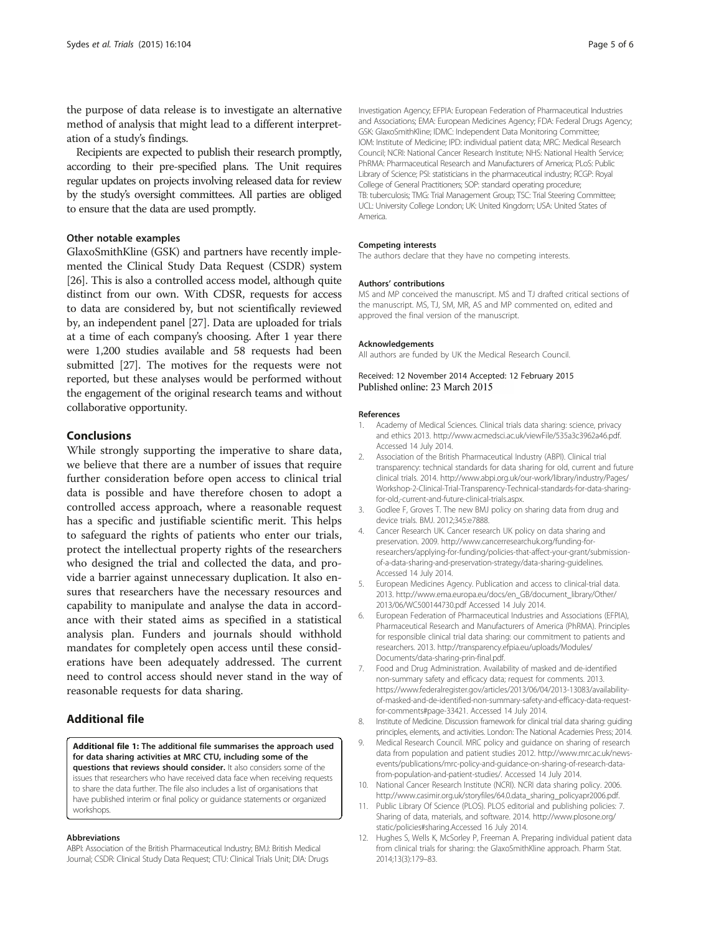<span id="page-4-0"></span>the purpose of data release is to investigate an alternative method of analysis that might lead to a different interpretation of a study's findings.

Recipients are expected to publish their research promptly, according to their pre-specified plans. The Unit requires regular updates on projects involving released data for review by the study's oversight committees. All parties are obliged to ensure that the data are used promptly.

## Other notable examples

GlaxoSmithKline (GSK) and partners have recently implemented the Clinical Study Data Request (CSDR) system [[26](#page-5-0)]. This is also a controlled access model, although quite distinct from our own. With CDSR, requests for access to data are considered by, but not scientifically reviewed by, an independent panel [\[27\]](#page-5-0). Data are uploaded for trials at a time of each company's choosing. After 1 year there were 1,200 studies available and 58 requests had been submitted [[27](#page-5-0)]. The motives for the requests were not reported, but these analyses would be performed without the engagement of the original research teams and without collaborative opportunity.

## Conclusions

While strongly supporting the imperative to share data, we believe that there are a number of issues that require further consideration before open access to clinical trial data is possible and have therefore chosen to adopt a controlled access approach, where a reasonable request has a specific and justifiable scientific merit. This helps to safeguard the rights of patients who enter our trials, protect the intellectual property rights of the researchers who designed the trial and collected the data, and provide a barrier against unnecessary duplication. It also ensures that researchers have the necessary resources and capability to manipulate and analyse the data in accordance with their stated aims as specified in a statistical analysis plan. Funders and journals should withhold mandates for completely open access until these considerations have been adequately addressed. The current need to control access should never stand in the way of reasonable requests for data sharing.

## Additional file

[Additional file 1:](http://www.trialsjournal.com/content/supplementary/s13063-015-0604-6-s1.docx) The additional file summarises the approach used for data sharing activities at MRC CTU, including some of the questions that reviews should consider. It also considers some of the issues that researchers who have received data face when receiving requests to share the data further. The file also includes a list of organisations that have published interim or final policy or guidance statements or organized workshops.

#### Abbreviations

ABPI: Association of the British Pharmaceutical Industry; BMJ: British Medical Journal; CSDR: Clinical Study Data Request; CTU: Clinical Trials Unit; DIA: Drugs

Investigation Agency; EFPIA: European Federation of Pharmaceutical Industries and Associations; EMA: European Medicines Agency; FDA: Federal Drugs Agency; GSK: GlaxoSmithKline; IDMC: Independent Data Monitoring Committee; IOM: Institute of Medicine; IPD: individual patient data; MRC: Medical Research Council; NCRI: National Cancer Research Institute; NHS: National Health Service; PhRMA: Pharmaceutical Research and Manufacturers of America; PLoS: Public Library of Science; PSI: statisticians in the pharmaceutical industry; RCGP: Royal College of General Practitioners; SOP: standard operating procedure; TB: tuberculosis; TMG: Trial Management Group; TSC: Trial Steering Committee; UCL: University College London; UK: United Kingdom; USA: United States of America.

#### Competing interests

The authors declare that they have no competing interests.

#### Authors' contributions

MS and MP conceived the manuscript. MS and TJ drafted critical sections of the manuscript. MS, TJ, SM, MR, AS and MP commented on, edited and approved the final version of the manuscript.

#### Acknowledgements

All authors are funded by UK the Medical Research Council.

#### Received: 12 November 2014 Accepted: 12 February 2015 Published online: 23 March 2015

#### References

- 1. Academy of Medical Sciences. Clinical trials data sharing: science, privacy and ethics 2013. [http://www.acmedsci.ac.uk/viewFile/535a3c3962a46.pdf.](http://www.acmedsci.ac.uk/viewFile/535a3c3962a46.pdf) Accessed 14 July 2014.
- 2. Association of the British Pharmaceutical Industry (ABPI). Clinical trial transparency: technical standards for data sharing for old, current and future clinical trials. 2014. [http://www.abpi.org.uk/our-work/library/industry/Pages/](http://www.abpi.org.uk/our-work/library/industry/Pages/Workshop-2-Clinical-Trial-Transparency-Technical-standards-for-data-sharing-for-old,-current-and-future-clinical-trials.aspx) [Workshop-2-Clinical-Trial-Transparency-Technical-standards-for-data-sharing](http://www.abpi.org.uk/our-work/library/industry/Pages/Workshop-2-Clinical-Trial-Transparency-Technical-standards-for-data-sharing-for-old,-current-and-future-clinical-trials.aspx)[for-old,-current-and-future-clinical-trials.aspx](http://www.abpi.org.uk/our-work/library/industry/Pages/Workshop-2-Clinical-Trial-Transparency-Technical-standards-for-data-sharing-for-old,-current-and-future-clinical-trials.aspx).
- 3. Godlee F, Groves T. The new BMJ policy on sharing data from drug and device trials. BMJ. 2012;345:e7888.
- 4. Cancer Research UK. Cancer research UK policy on data sharing and preservation. 2009. [http://www.cancerresearchuk.org/funding-for](http://www.cancerresearchuk.org/funding-for-researchers/applying-for-funding/policies-that-affect-your-grant/submission-of-a-data-sharing-and-preservation-strategy/data-sharing-guidelines)[researchers/applying-for-funding/policies-that-affect-your-grant/submission](http://www.cancerresearchuk.org/funding-for-researchers/applying-for-funding/policies-that-affect-your-grant/submission-of-a-data-sharing-and-preservation-strategy/data-sharing-guidelines)[of-a-data-sharing-and-preservation-strategy/data-sharing-guidelines](http://www.cancerresearchuk.org/funding-for-researchers/applying-for-funding/policies-that-affect-your-grant/submission-of-a-data-sharing-and-preservation-strategy/data-sharing-guidelines). Accessed 14 July 2014.
- 5. European Medicines Agency. Publication and access to clinical-trial data. 2013. [http://www.ema.europa.eu/docs/en\\_GB/document\\_library/Other/](http://www.ema.europa.eu/docs/en_GB/document_library/Other/2013/06/WC500144730.pdf) [2013/06/WC500144730.pdf](http://www.ema.europa.eu/docs/en_GB/document_library/Other/2013/06/WC500144730.pdf) Accessed 14 July 2014.
- 6. European Federation of Pharmaceutical Industries and Associations (EFPIA), Pharmaceutical Research and Manufacturers of America (PhRMA). Principles for responsible clinical trial data sharing: our commitment to patients and researchers. 2013. [http://transparency.efpia.eu/uploads/Modules/](http://transparency.efpia.eu/uploads/Modules/Documents/data-sharing-prin-final.pdf) [Documents/data-sharing-prin-final.pdf](http://transparency.efpia.eu/uploads/Modules/Documents/data-sharing-prin-final.pdf).
- 7. Food and Drug Administration. Availability of masked and de-identified non-summary safety and efficacy data; request for comments. 2013. [https://www.federalregister.gov/articles/2013/06/04/2013-13083/availability](https://www.federalregister.gov/articles/2013/06/04/2013-13083/availability-of-masked-and-de-identified-non-summary-safety-and-efficacy-data-request-for-comments#page-33421)[of-masked-and-de-identified-non-summary-safety-and-efficacy-data-request](https://www.federalregister.gov/articles/2013/06/04/2013-13083/availability-of-masked-and-de-identified-non-summary-safety-and-efficacy-data-request-for-comments#page-33421)[for-comments#page-33421.](https://www.federalregister.gov/articles/2013/06/04/2013-13083/availability-of-masked-and-de-identified-non-summary-safety-and-efficacy-data-request-for-comments#page-33421) Accessed 14 July 2014.
- 8. Institute of Medicine. Discussion framework for clinical trial data sharing: guiding principles, elements, and activities. London: The National Academies Press; 2014.
- 9. Medical Research Council. MRC policy and guidance on sharing of research data from population and patient studies 2012. [http://www.mrc.ac.uk/news](http://www.mrc.ac.uk/news-events/publications/mrc-policy-and-guidance-on-sharing-of-research-data-from-population-and-patient-studies/)[events/publications/mrc-policy-and-guidance-on-sharing-of-research-data](http://www.mrc.ac.uk/news-events/publications/mrc-policy-and-guidance-on-sharing-of-research-data-from-population-and-patient-studies/)[from-population-and-patient-studies/.](http://www.mrc.ac.uk/news-events/publications/mrc-policy-and-guidance-on-sharing-of-research-data-from-population-and-patient-studies/) Accessed 14 July 2014.
- 10. National Cancer Research Institute (NCRI). NCRI data sharing policy. 2006. [http://www.casimir.org.uk/storyfiles/64.0.data\\_sharing\\_policyapr2006.pdf.](http://www.casimir.org.uk/storyfiles/64.0.data_sharing_policyapr2006.pdf)
- 11. Public Library Of Science (PLOS). PLOS editorial and publishing policies: 7. Sharing of data, materials, and software. 2014. [http://www.plosone.org/](http://www.plosone.org/static/policies#sharing) [static/policies#sharing](http://www.plosone.org/static/policies#sharing).Accessed 16 July 2014.
- 12. Hughes S, Wells K, McSorley P, Freeman A. Preparing individual patient data from clinical trials for sharing: the GlaxoSmithKline approach. Pharm Stat. 2014;13(3):179–83.